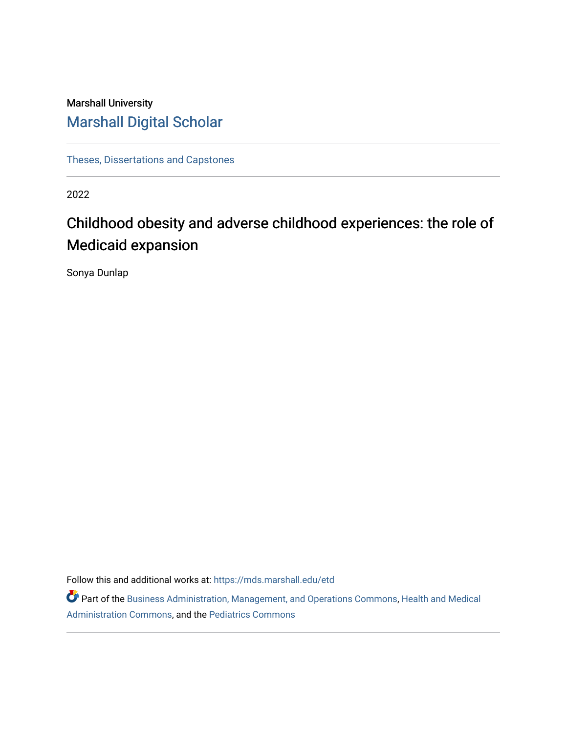# Marshall University [Marshall Digital Scholar](https://mds.marshall.edu/)

[Theses, Dissertations and Capstones](https://mds.marshall.edu/etd)

2022

# Childhood obesity and adverse childhood experiences: the role of Medicaid expansion

Sonya Dunlap

Follow this and additional works at: [https://mds.marshall.edu/etd](https://mds.marshall.edu/etd?utm_source=mds.marshall.edu%2Fetd%2F1426&utm_medium=PDF&utm_campaign=PDFCoverPages)

Part of the [Business Administration, Management, and Operations Commons](https://network.bepress.com/hgg/discipline/623?utm_source=mds.marshall.edu%2Fetd%2F1426&utm_medium=PDF&utm_campaign=PDFCoverPages), [Health and Medical](https://network.bepress.com/hgg/discipline/663?utm_source=mds.marshall.edu%2Fetd%2F1426&utm_medium=PDF&utm_campaign=PDFCoverPages)  [Administration Commons,](https://network.bepress.com/hgg/discipline/663?utm_source=mds.marshall.edu%2Fetd%2F1426&utm_medium=PDF&utm_campaign=PDFCoverPages) and the [Pediatrics Commons](https://network.bepress.com/hgg/discipline/700?utm_source=mds.marshall.edu%2Fetd%2F1426&utm_medium=PDF&utm_campaign=PDFCoverPages)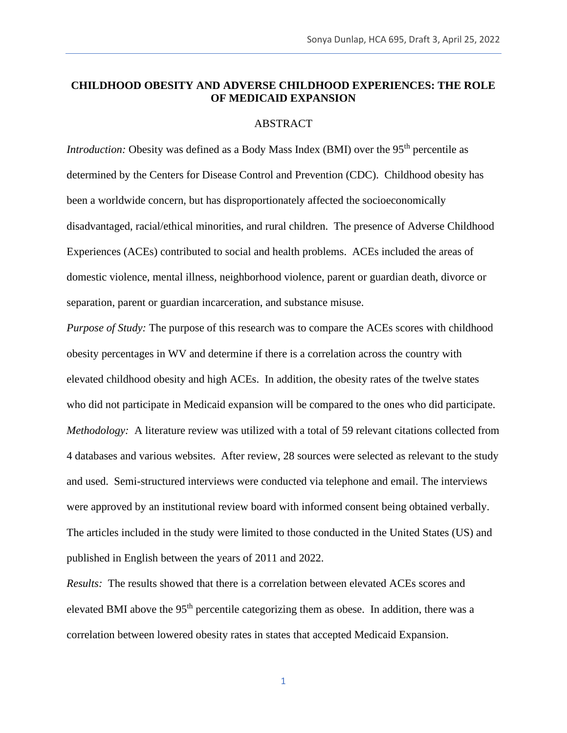#### **CHILDHOOD OBESITY AND ADVERSE CHILDHOOD EXPERIENCES: THE ROLE OF MEDICAID EXPANSION**

#### ABSTRACT

*Introduction:* Obesity was defined as a Body Mass Index (BMI) over the 95<sup>th</sup> percentile as determined by the Centers for Disease Control and Prevention (CDC). Childhood obesity has been a worldwide concern, but has disproportionately affected the socioeconomically disadvantaged, racial/ethical minorities, and rural children. The presence of Adverse Childhood Experiences (ACEs) contributed to social and health problems. ACEs included the areas of domestic violence, mental illness, neighborhood violence, parent or guardian death, divorce or separation, parent or guardian incarceration, and substance misuse.

*Purpose of Study:* The purpose of this research was to compare the ACEs scores with childhood obesity percentages in WV and determine if there is a correlation across the country with elevated childhood obesity and high ACEs. In addition, the obesity rates of the twelve states who did not participate in Medicaid expansion will be compared to the ones who did participate. *Methodology:* A literature review was utilized with a total of 59 relevant citations collected from 4 databases and various websites. After review, 28 sources were selected as relevant to the study and used. Semi-structured interviews were conducted via telephone and email. The interviews were approved by an institutional review board with informed consent being obtained verbally. The articles included in the study were limited to those conducted in the United States (US) and published in English between the years of 2011 and 2022.

*Results:* The results showed that there is a correlation between elevated ACEs scores and elevated BMI above the 95<sup>th</sup> percentile categorizing them as obese. In addition, there was a correlation between lowered obesity rates in states that accepted Medicaid Expansion.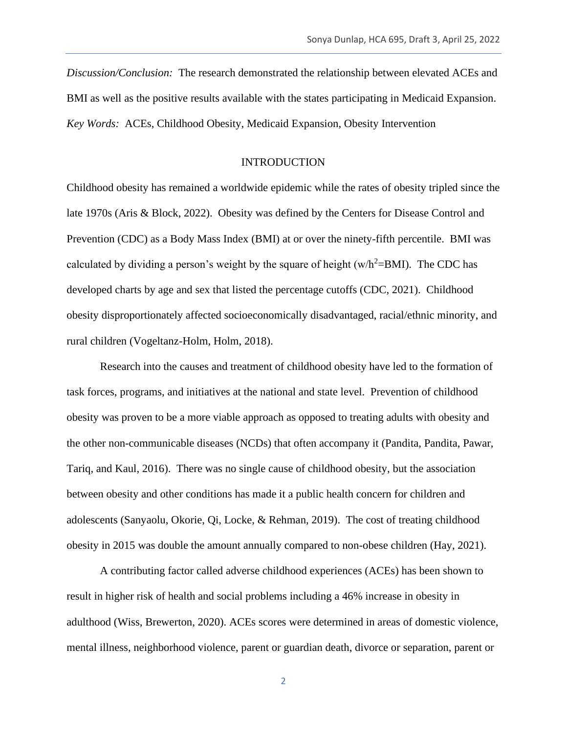*Discussion/Conclusion:* The research demonstrated the relationship between elevated ACEs and BMI as well as the positive results available with the states participating in Medicaid Expansion. *Key Words:* ACEs, Childhood Obesity, Medicaid Expansion, Obesity Intervention

#### **INTRODUCTION**

Childhood obesity has remained a worldwide epidemic while the rates of obesity tripled since the late 1970s (Aris & Block, 2022). Obesity was defined by the Centers for Disease Control and Prevention (CDC) as a Body Mass Index (BMI) at or over the ninety-fifth percentile. BMI was calculated by dividing a person's weight by the square of height (w/h<sup>2</sup>=BMI). The CDC has developed charts by age and sex that listed the percentage cutoffs (CDC, 2021). Childhood obesity disproportionately affected socioeconomically disadvantaged, racial/ethnic minority, and rural children (Vogeltanz-Holm, Holm, 2018).

Research into the causes and treatment of childhood obesity have led to the formation of task forces, programs, and initiatives at the national and state level. Prevention of childhood obesity was proven to be a more viable approach as opposed to treating adults with obesity and the other non-communicable diseases (NCDs) that often accompany it (Pandita, Pandita, Pawar, Tariq, and Kaul, 2016). There was no single cause of childhood obesity, but the association between obesity and other conditions has made it a public health concern for children and adolescents (Sanyaolu, Okorie, Qi, Locke, & Rehman, 2019). The cost of treating childhood obesity in 2015 was double the amount annually compared to non-obese children (Hay, 2021).

A contributing factor called adverse childhood experiences (ACEs) has been shown to result in higher risk of health and social problems including a 46% increase in obesity in adulthood (Wiss, Brewerton, 2020). ACEs scores were determined in areas of domestic violence, mental illness, neighborhood violence, parent or guardian death, divorce or separation, parent or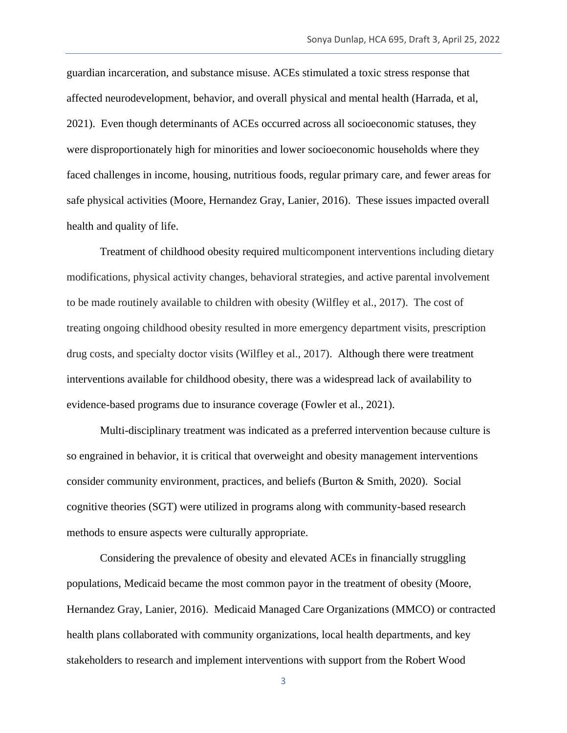guardian incarceration, and substance misuse. ACEs stimulated a toxic stress response that affected neurodevelopment, behavior, and overall physical and mental health (Harrada, et al, 2021). Even though determinants of ACEs occurred across all socioeconomic statuses, they were disproportionately high for minorities and lower socioeconomic households where they faced challenges in income, housing, nutritious foods, regular primary care, and fewer areas for safe physical activities (Moore, Hernandez Gray, Lanier, 2016). These issues impacted overall health and quality of life.

Treatment of childhood obesity required multicomponent interventions including dietary modifications, physical activity changes, behavioral strategies, and active parental involvement to be made routinely available to children with obesity (Wilfley et al., 2017). The cost of treating ongoing childhood obesity resulted in more emergency department visits, prescription drug costs, and specialty doctor visits (Wilfley et al., 2017). Although there were treatment interventions available for childhood obesity, there was a widespread lack of availability to evidence-based programs due to insurance coverage (Fowler et al., 2021).

Multi-disciplinary treatment was indicated as a preferred intervention because culture is so engrained in behavior, it is critical that overweight and obesity management interventions consider community environment, practices, and beliefs (Burton & Smith, 2020). Social cognitive theories (SGT) were utilized in programs along with community-based research methods to ensure aspects were culturally appropriate.

Considering the prevalence of obesity and elevated ACEs in financially struggling populations, Medicaid became the most common payor in the treatment of obesity (Moore, Hernandez Gray, Lanier, 2016). Medicaid Managed Care Organizations (MMCO) or contracted health plans collaborated with community organizations, local health departments, and key stakeholders to research and implement interventions with support from the Robert Wood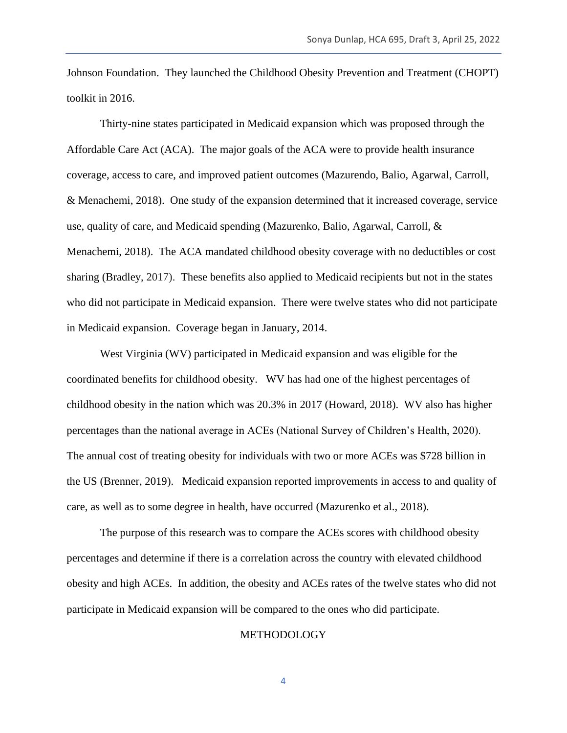Johnson Foundation. They launched the Childhood Obesity Prevention and Treatment (CHOPT) toolkit in 2016.

Thirty-nine states participated in Medicaid expansion which was proposed through the Affordable Care Act (ACA). The major goals of the ACA were to provide health insurance coverage, access to care, and improved patient outcomes (Mazurendo, Balio, Agarwal, Carroll, & Menachemi, 2018). One study of the expansion determined that it increased coverage, service use, quality of care, and Medicaid spending (Mazurenko, Balio, Agarwal, Carroll, & Menachemi, 2018). The ACA mandated childhood obesity coverage with no deductibles or cost sharing (Bradley, 2017). These benefits also applied to Medicaid recipients but not in the states who did not participate in Medicaid expansion. There were twelve states who did not participate in Medicaid expansion. Coverage began in January, 2014.

West Virginia (WV) participated in Medicaid expansion and was eligible for the coordinated benefits for childhood obesity. WV has had one of the highest percentages of childhood obesity in the nation which was 20.3% in 2017 (Howard, 2018). WV also has higher percentages than the national average in ACEs (National Survey of Children's Health, 2020). The annual cost of treating obesity for individuals with two or more ACEs was \$728 billion in the US (Brenner, 2019). Medicaid expansion reported improvements in access to and quality of care, as well as to some degree in health, have occurred (Mazurenko et al., 2018).

The purpose of this research was to compare the ACEs scores with childhood obesity percentages and determine if there is a correlation across the country with elevated childhood obesity and high ACEs. In addition, the obesity and ACEs rates of the twelve states who did not participate in Medicaid expansion will be compared to the ones who did participate.

#### METHODOLOGY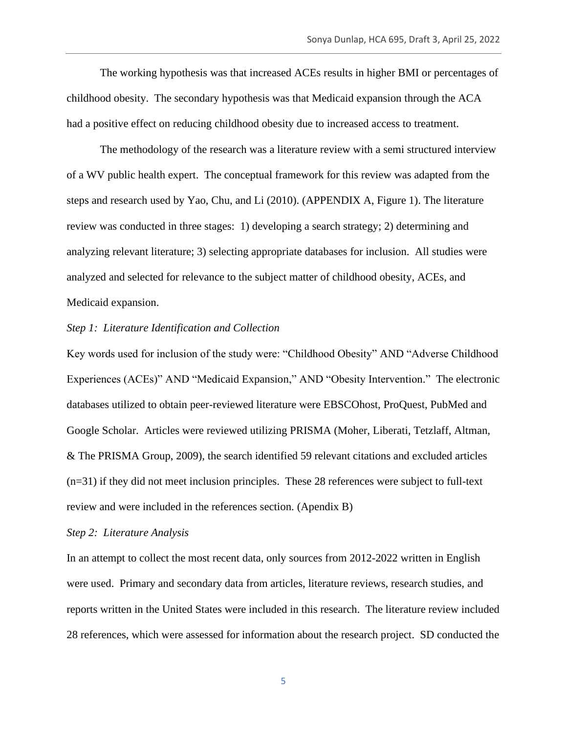The working hypothesis was that increased ACEs results in higher BMI or percentages of childhood obesity. The secondary hypothesis was that Medicaid expansion through the ACA had a positive effect on reducing childhood obesity due to increased access to treatment.

The methodology of the research was a literature review with a semi structured interview of a WV public health expert. The conceptual framework for this review was adapted from the steps and research used by Yao, Chu, and Li (2010). (APPENDIX A, Figure 1). The literature review was conducted in three stages: 1) developing a search strategy; 2) determining and analyzing relevant literature; 3) selecting appropriate databases for inclusion. All studies were analyzed and selected for relevance to the subject matter of childhood obesity, ACEs, and Medicaid expansion.

#### *Step 1: Literature Identification and Collection*

Key words used for inclusion of the study were: "Childhood Obesity" AND "Adverse Childhood Experiences (ACEs)" AND "Medicaid Expansion," AND "Obesity Intervention." The electronic databases utilized to obtain peer-reviewed literature were EBSCOhost, ProQuest, PubMed and Google Scholar. Articles were reviewed utilizing PRISMA (Moher, Liberati, Tetzlaff, Altman, & The PRISMA Group, 2009), the search identified 59 relevant citations and excluded articles  $(n=31)$  if they did not meet inclusion principles. These 28 references were subject to full-text review and were included in the references section. (Apendix B)

#### *Step 2: Literature Analysis*

In an attempt to collect the most recent data, only sources from 2012-2022 written in English were used. Primary and secondary data from articles, literature reviews, research studies, and reports written in the United States were included in this research. The literature review included 28 references, which were assessed for information about the research project. SD conducted the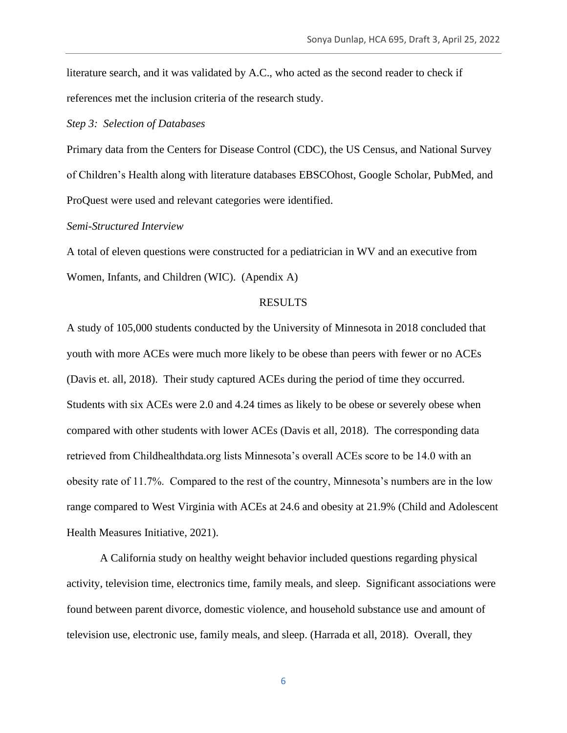literature search, and it was validated by A.C., who acted as the second reader to check if references met the inclusion criteria of the research study.

#### *Step 3: Selection of Databases*

Primary data from the Centers for Disease Control (CDC), the US Census, and National Survey of Children's Health along with literature databases EBSCOhost, Google Scholar, PubMed, and ProQuest were used and relevant categories were identified.

#### *Semi-Structured Interview*

A total of eleven questions were constructed for a pediatrician in WV and an executive from Women, Infants, and Children (WIC). (Apendix A)

#### RESULTS

A study of 105,000 students conducted by the University of Minnesota in 2018 concluded that youth with more ACEs were much more likely to be obese than peers with fewer or no ACEs (Davis et. all, 2018). Their study captured ACEs during the period of time they occurred. Students with six ACEs were 2.0 and 4.24 times as likely to be obese or severely obese when compared with other students with lower ACEs (Davis et all, 2018). The corresponding data retrieved from Childhealthdata.org lists Minnesota's overall ACEs score to be 14.0 with an obesity rate of 11.7%. Compared to the rest of the country, Minnesota's numbers are in the low range compared to West Virginia with ACEs at 24.6 and obesity at 21.9% (Child and Adolescent Health Measures Initiative, 2021).

A California study on healthy weight behavior included questions regarding physical activity, television time, electronics time, family meals, and sleep. Significant associations were found between parent divorce, domestic violence, and household substance use and amount of television use, electronic use, family meals, and sleep. (Harrada et all, 2018). Overall, they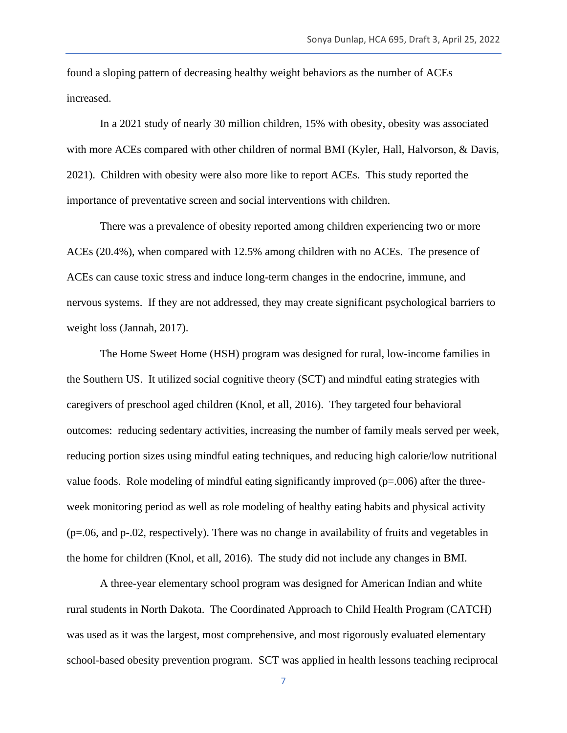found a sloping pattern of decreasing healthy weight behaviors as the number of ACEs increased.

In a 2021 study of nearly 30 million children, 15% with obesity, obesity was associated with more ACEs compared with other children of normal BMI (Kyler, Hall, Halvorson, & Davis, 2021). Children with obesity were also more like to report ACEs. This study reported the importance of preventative screen and social interventions with children.

There was a prevalence of obesity reported among children experiencing two or more ACEs (20.4%), when compared with 12.5% among children with no ACEs. The presence of ACEs can cause toxic stress and induce long-term changes in the endocrine, immune, and nervous systems. If they are not addressed, they may create significant psychological barriers to weight loss (Jannah, 2017).

The Home Sweet Home (HSH) program was designed for rural, low-income families in the Southern US. It utilized social cognitive theory (SCT) and mindful eating strategies with caregivers of preschool aged children (Knol, et all, 2016). They targeted four behavioral outcomes: reducing sedentary activities, increasing the number of family meals served per week, reducing portion sizes using mindful eating techniques, and reducing high calorie/low nutritional value foods. Role modeling of mindful eating significantly improved  $(p=006)$  after the threeweek monitoring period as well as role modeling of healthy eating habits and physical activity (p=.06, and p-.02, respectively). There was no change in availability of fruits and vegetables in the home for children (Knol, et all, 2016). The study did not include any changes in BMI.

A three-year elementary school program was designed for American Indian and white rural students in North Dakota. The Coordinated Approach to Child Health Program (CATCH) was used as it was the largest, most comprehensive, and most rigorously evaluated elementary school-based obesity prevention program. SCT was applied in health lessons teaching reciprocal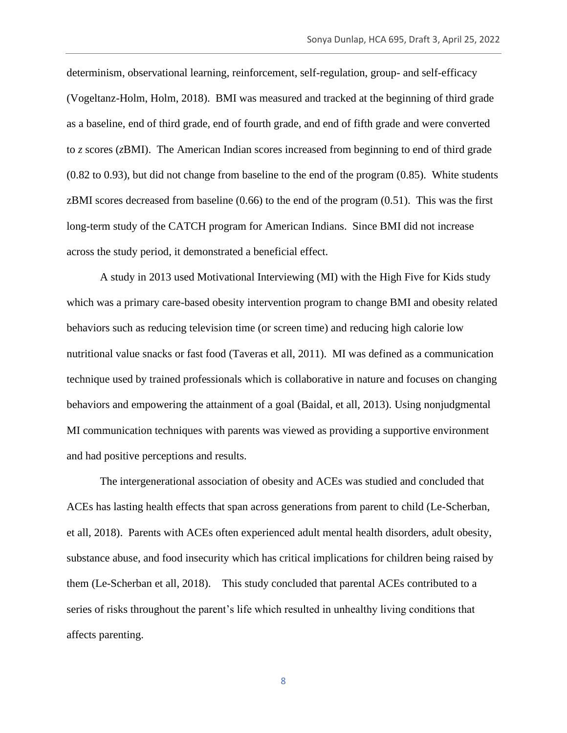determinism, observational learning, reinforcement, self-regulation, group- and self-efficacy (Vogeltanz-Holm, Holm, 2018). BMI was measured and tracked at the beginning of third grade as a baseline, end of third grade, end of fourth grade, and end of fifth grade and were converted to *z* scores (*z*BMI). The American Indian scores increased from beginning to end of third grade (0.82 to 0.93), but did not change from baseline to the end of the program (0.85). White students zBMI scores decreased from baseline (0.66) to the end of the program (0.51). This was the first long-term study of the CATCH program for American Indians. Since BMI did not increase across the study period, it demonstrated a beneficial effect.

A study in 2013 used Motivational Interviewing (MI) with the High Five for Kids study which was a primary care-based obesity intervention program to change BMI and obesity related behaviors such as reducing television time (or screen time) and reducing high calorie low nutritional value snacks or fast food (Taveras et all, 2011). MI was defined as a communication technique used by trained professionals which is collaborative in nature and focuses on changing behaviors and empowering the attainment of a goal (Baidal, et all, 2013). Using nonjudgmental MI communication techniques with parents was viewed as providing a supportive environment and had positive perceptions and results.

The intergenerational association of obesity and ACEs was studied and concluded that ACEs has lasting health effects that span across generations from parent to child (Le-Scherban, et all, 2018). Parents with ACEs often experienced adult mental health disorders, adult obesity, substance abuse, and food insecurity which has critical implications for children being raised by them (Le-Scherban et all, 2018). This study concluded that parental ACEs contributed to a series of risks throughout the parent's life which resulted in unhealthy living conditions that affects parenting.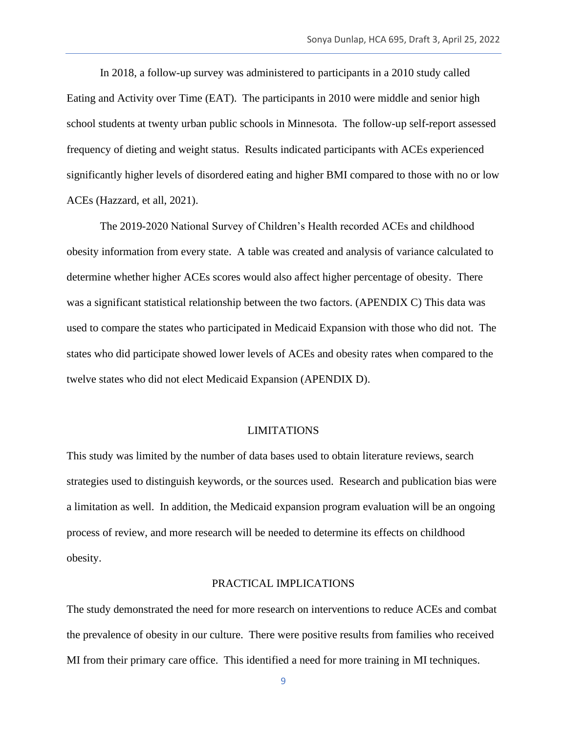In 2018, a follow-up survey was administered to participants in a 2010 study called Eating and Activity over Time (EAT). The participants in 2010 were middle and senior high school students at twenty urban public schools in Minnesota. The follow-up self-report assessed frequency of dieting and weight status. Results indicated participants with ACEs experienced significantly higher levels of disordered eating and higher BMI compared to those with no or low ACEs (Hazzard, et all, 2021).

The 2019-2020 National Survey of Children's Health recorded ACEs and childhood obesity information from every state. A table was created and analysis of variance calculated to determine whether higher ACEs scores would also affect higher percentage of obesity. There was a significant statistical relationship between the two factors. (APENDIX C) This data was used to compare the states who participated in Medicaid Expansion with those who did not. The states who did participate showed lower levels of ACEs and obesity rates when compared to the twelve states who did not elect Medicaid Expansion (APENDIX D).

#### LIMITATIONS

This study was limited by the number of data bases used to obtain literature reviews, search strategies used to distinguish keywords, or the sources used. Research and publication bias were a limitation as well. In addition, the Medicaid expansion program evaluation will be an ongoing process of review, and more research will be needed to determine its effects on childhood obesity.

#### PRACTICAL IMPLICATIONS

The study demonstrated the need for more research on interventions to reduce ACEs and combat the prevalence of obesity in our culture. There were positive results from families who received MI from their primary care office. This identified a need for more training in MI techniques.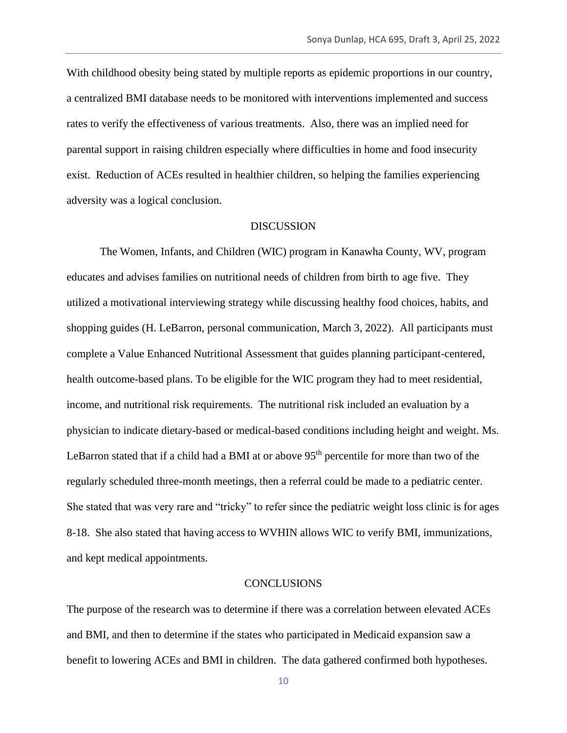With childhood obesity being stated by multiple reports as epidemic proportions in our country, a centralized BMI database needs to be monitored with interventions implemented and success rates to verify the effectiveness of various treatments. Also, there was an implied need for parental support in raising children especially where difficulties in home and food insecurity exist. Reduction of ACEs resulted in healthier children, so helping the families experiencing adversity was a logical conclusion.

#### **DISCUSSION**

The Women, Infants, and Children (WIC) program in Kanawha County, WV, program educates and advises families on nutritional needs of children from birth to age five. They utilized a motivational interviewing strategy while discussing healthy food choices, habits, and shopping guides (H. LeBarron, personal communication, March 3, 2022). All participants must complete a Value Enhanced Nutritional Assessment that guides planning participant-centered, health outcome-based plans. To be eligible for the WIC program they had to meet residential, income, and nutritional risk requirements. The nutritional risk included an evaluation by a physician to indicate dietary-based or medical-based conditions including height and weight. Ms. LeBarron stated that if a child had a BMI at or above 95<sup>th</sup> percentile for more than two of the regularly scheduled three-month meetings, then a referral could be made to a pediatric center. She stated that was very rare and "tricky" to refer since the pediatric weight loss clinic is for ages 8-18. She also stated that having access to WVHIN allows WIC to verify BMI, immunizations, and kept medical appointments.

#### **CONCLUSIONS**

The purpose of the research was to determine if there was a correlation between elevated ACEs and BMI, and then to determine if the states who participated in Medicaid expansion saw a benefit to lowering ACEs and BMI in children. The data gathered confirmed both hypotheses.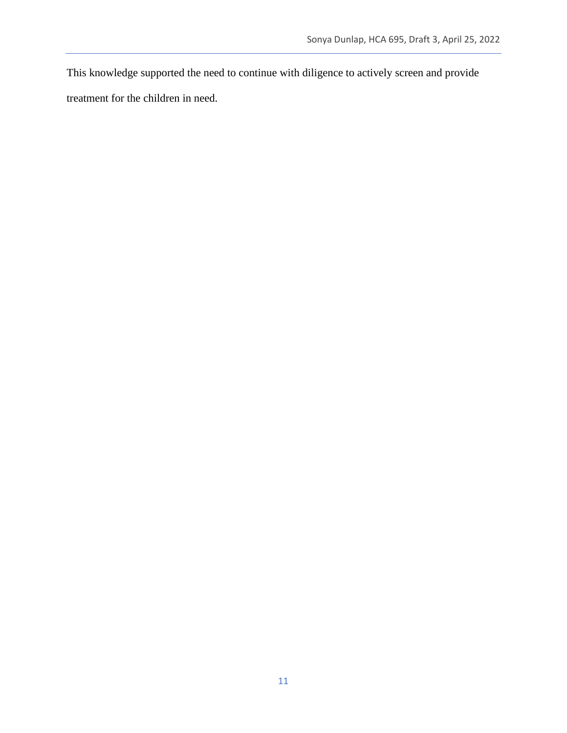This knowledge supported the need to continue with diligence to actively screen and provide

treatment for the children in need.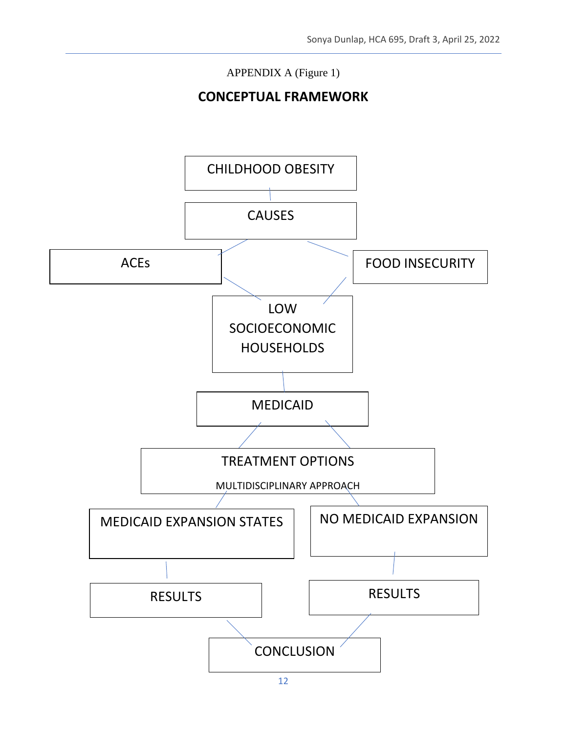# APPENDIX A (Figure 1)

# **CONCEPTUAL FRAMEWORK**

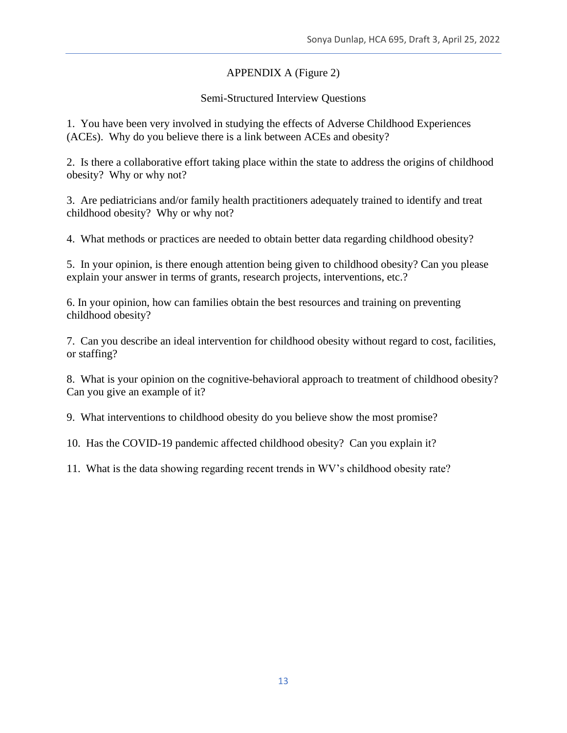## APPENDIX A (Figure 2)

### Semi-Structured Interview Questions

1. You have been very involved in studying the effects of Adverse Childhood Experiences (ACEs). Why do you believe there is a link between ACEs and obesity?

2. Is there a collaborative effort taking place within the state to address the origins of childhood obesity? Why or why not?

3. Are pediatricians and/or family health practitioners adequately trained to identify and treat childhood obesity? Why or why not?

4. What methods or practices are needed to obtain better data regarding childhood obesity?

5. In your opinion, is there enough attention being given to childhood obesity? Can you please explain your answer in terms of grants, research projects, interventions, etc.?

6. In your opinion, how can families obtain the best resources and training on preventing childhood obesity?

7. Can you describe an ideal intervention for childhood obesity without regard to cost, facilities, or staffing?

8. What is your opinion on the cognitive-behavioral approach to treatment of childhood obesity? Can you give an example of it?

9. What interventions to childhood obesity do you believe show the most promise?

10. Has the COVID-19 pandemic affected childhood obesity? Can you explain it?

11. What is the data showing regarding recent trends in WV's childhood obesity rate?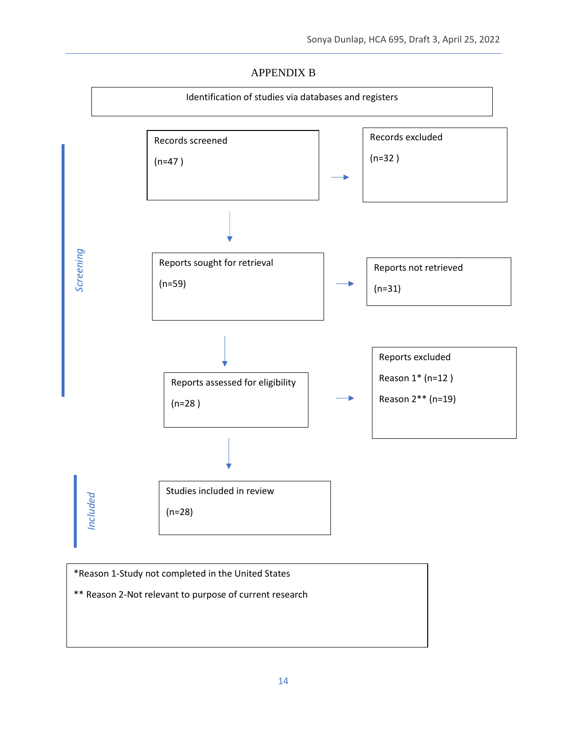### APPENDIX B



\*Reason 1-Study not completed in the United States \*\* Reason 2-Not relevant to purpose of current research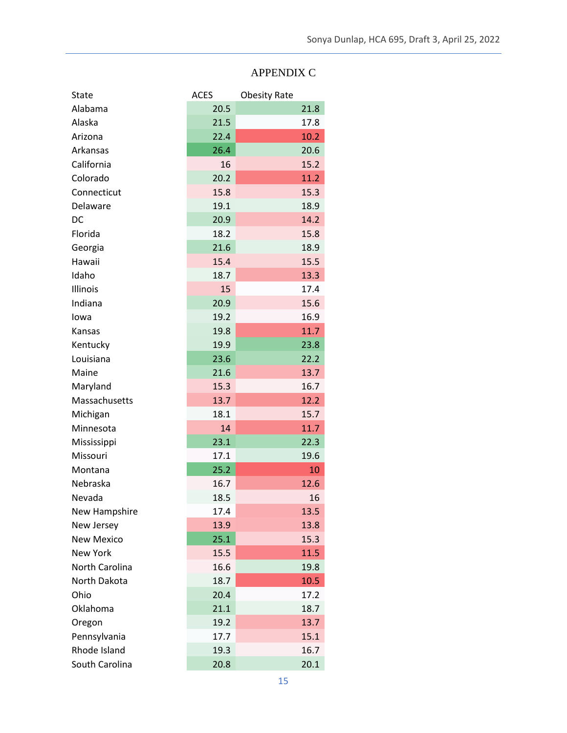# APPENDIX C

| <b>State</b>      | <b>ACES</b> | <b>Obesity Rate</b> |      |
|-------------------|-------------|---------------------|------|
| Alabama           | 20.5        |                     | 21.8 |
| Alaska            | 21.5        |                     | 17.8 |
| Arizona           | 22.4        |                     | 10.2 |
| Arkansas          | 26.4        |                     | 20.6 |
| California        | 16          |                     | 15.2 |
| Colorado          | 20.2        |                     | 11.2 |
| Connecticut       | 15.8        |                     | 15.3 |
| Delaware          | 19.1        |                     | 18.9 |
| DC                | 20.9        |                     | 14.2 |
| Florida           | 18.2        |                     | 15.8 |
| Georgia           | 21.6        |                     | 18.9 |
| Hawaii            | 15.4        |                     | 15.5 |
| Idaho             | 18.7        |                     | 13.3 |
| Illinois          | 15          |                     | 17.4 |
| Indiana           | 20.9        |                     | 15.6 |
| lowa              | 19.2        |                     | 16.9 |
| Kansas            | 19.8        |                     | 11.7 |
| Kentucky          | 19.9        |                     | 23.8 |
| Louisiana         | 23.6        |                     | 22.2 |
| Maine             | 21.6        |                     | 13.7 |
| Maryland          | 15.3        |                     | 16.7 |
| Massachusetts     | 13.7        |                     | 12.2 |
| Michigan          | 18.1        |                     | 15.7 |
| Minnesota         | 14          |                     | 11.7 |
| Mississippi       | 23.1        |                     | 22.3 |
| Missouri          | 17.1        |                     | 19.6 |
| Montana           | 25.2        |                     | 10   |
| Nebraska          | 16.7        |                     | 12.6 |
| Nevada            | 18.5        |                     | 16   |
| New Hampshire     | 17.4        |                     | 13.5 |
| New Jersey        | 13.9        |                     | 13.8 |
| <b>New Mexico</b> | 25.1        |                     | 15.3 |
| <b>New York</b>   | 15.5        |                     | 11.5 |
| North Carolina    | 16.6        |                     | 19.8 |
| North Dakota      | 18.7        |                     | 10.5 |
| Ohio              | 20.4        |                     | 17.2 |
| Oklahoma          | 21.1        |                     | 18.7 |
| Oregon            | 19.2        |                     | 13.7 |
| Pennsylvania      | 17.7        |                     | 15.1 |
| Rhode Island      | 19.3        |                     | 16.7 |
| South Carolina    | 20.8        |                     | 20.1 |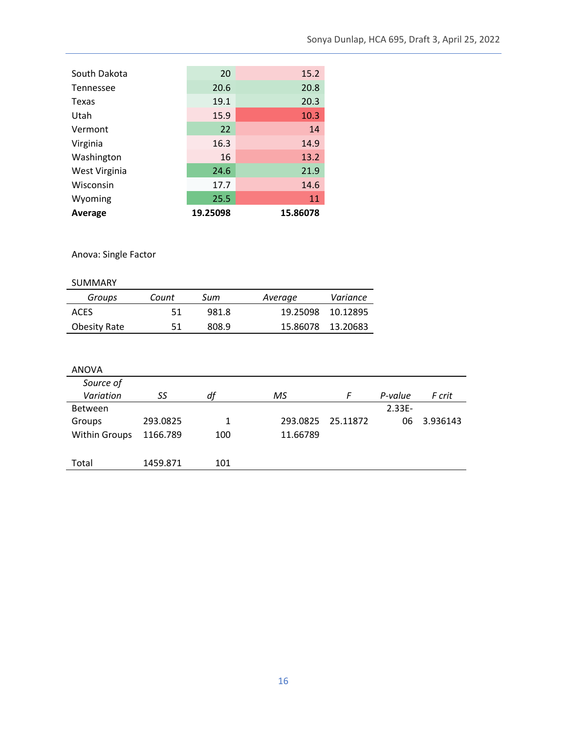| South Dakota  | 20       | 15.2     |
|---------------|----------|----------|
| Tennessee     | 20.6     | 20.8     |
| Texas         | 19.1     | 20.3     |
| Utah          | 15.9     | 10.3     |
| Vermont       | 22       | 14       |
| Virginia      | 16.3     | 14.9     |
| Washington    | 16       | 13.2     |
| West Virginia | 24.6     | 21.9     |
| Wisconsin     | 17.7     | 14.6     |
| Wyoming       | 25.5     | 11       |
| Average       | 19.25098 | 15.86078 |

Anova: Single Factor

| <b>SUMMARY</b> |  |
|----------------|--|
|                |  |

| Groups              | Count | Sum   | Average           | Variance          |
|---------------------|-------|-------|-------------------|-------------------|
| <b>ACES</b>         | 51    | 981.8 |                   | 19.25098 10.12895 |
| <b>Obesity Rate</b> | 51    | 808.9 | 15.86078 13.20683 |                   |

| SS       | df  | ΜS       | F | P-value   | F crit   |
|----------|-----|----------|---|-----------|----------|
|          |     |          |   | $2.33E -$ |          |
| 293.0825 | 1   | 293.0825 |   | 06        | 3.936143 |
| 1166.789 | 100 | 11.66789 |   |           |          |
|          |     |          |   |           |          |
| 1459.871 | 101 |          |   |           |          |
|          |     |          |   | 25.11872  |          |